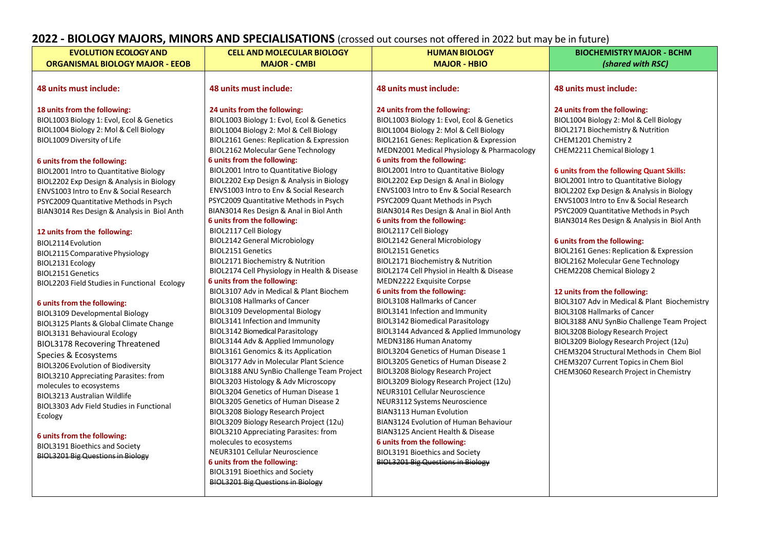# **2022 - BIOLOGY MAJORS, MINORS AND SPECIALISATIONS** (crossed out courses not offered in 2022 but may be in future)

| <b>EVOLUTION ECOLOGY AND</b>                    | <b>CELL AND MOLECULAR BIOLOGY</b>                                                 | <b>HUMAN BIOLOGY</b>                                                      | <b>BIOCHEMISTRY MAJOR - BCHM</b>                |
|-------------------------------------------------|-----------------------------------------------------------------------------------|---------------------------------------------------------------------------|-------------------------------------------------|
| <b>ORGANISMAL BIOLOGY MAJOR - EEOB</b>          | <b>MAJOR - CMBI</b>                                                               | <b>MAJOR - HBIO</b>                                                       | (shared with RSC)                               |
|                                                 |                                                                                   |                                                                           |                                                 |
| 48 units must include:                          | 48 units must include:                                                            | 48 units must include:                                                    | 48 units must include:                          |
| 18 units from the following:                    | 24 units from the following:                                                      | 24 units from the following:                                              | 24 units from the following:                    |
| BIOL1003 Biology 1: Evol, Ecol & Genetics       | BIOL1003 Biology 1: Evol, Ecol & Genetics                                         | BIOL1003 Biology 1: Evol, Ecol & Genetics                                 | BIOL1004 Biology 2: Mol & Cell Biology          |
| BIOL1004 Biology 2: Mol & Cell Biology          | BIOL1004 Biology 2: Mol & Cell Biology                                            | BIOL1004 Biology 2: Mol & Cell Biology                                    | BIOL2171 Biochemistry & Nutrition               |
| BIOL1009 Diversity of Life                      | BIOL2161 Genes: Replication & Expression                                          | BIOL2161 Genes: Replication & Expression                                  | CHEM1201 Chemistry 2                            |
|                                                 | <b>BIOL2162 Molecular Gene Technology</b>                                         | MEDN2001 Medical Physiology & Pharmacology                                | CHEM2211 Chemical Biology 1                     |
| 6 units from the following:                     | 6 units from the following:                                                       | 6 units from the following:                                               |                                                 |
| BIOL2001 Intro to Quantitative Biology          | BIOL2001 Intro to Quantitative Biology                                            | BIOL2001 Intro to Quantitative Biology                                    | <b>6 units from the following Quant Skills:</b> |
| BIOL2202 Exp Design & Analysis in Biology       | BIOL2202 Exp Design & Analysis in Biology                                         | BIOL2202 Exp Design & Anal in Biology                                     | BIOL2001 Intro to Quantitative Biology          |
| ENVS1003 Intro to Env & Social Research         | ENVS1003 Intro to Env & Social Research                                           | ENVS1003 Intro to Env & Social Research                                   | BIOL2202 Exp Design & Analysis in Biology       |
| PSYC2009 Quantitative Methods in Psych          | PSYC2009 Quantitative Methods in Psych                                            | PSYC2009 Quant Methods in Psych                                           | ENVS1003 Intro to Env & Social Research         |
| BIAN3014 Res Design & Analysis in Biol Anth     | BIAN3014 Res Design & Anal in Biol Anth                                           | BIAN3014 Res Design & Anal in Biol Anth                                   | PSYC2009 Quantitative Methods in Psych          |
|                                                 | 6 units from the following:                                                       | 6 units from the following:                                               | BIAN3014 Res Design & Analysis in Biol Anth     |
| 12 units from the following:                    | BIOL2117 Cell Biology                                                             | BIOL2117 Cell Biology                                                     |                                                 |
| BIOL2114 Evolution                              | <b>BIOL2142 General Microbiology</b>                                              | <b>BIOL2142 General Microbiology</b>                                      | 6 units from the following:                     |
| BIOL2115 Comparative Physiology                 | <b>BIOL2151 Genetics</b>                                                          | <b>BIOL2151 Genetics</b>                                                  | BIOL2161 Genes: Replication & Expression        |
| BIOL2131 Ecology                                | BIOL2171 Biochemistry & Nutrition                                                 | BIOL2171 Biochemistry & Nutrition                                         | <b>BIOL2162 Molecular Gene Technology</b>       |
| <b>BIOL2151 Genetics</b>                        | BIOL2174 Cell Physiology in Health & Disease                                      | BIOL2174 Cell Physiol in Health & Disease                                 | CHEM2208 Chemical Biology 2                     |
| BIOL2203 Field Studies in Functional Ecology    | 6 units from the following:                                                       | MEDN2222 Exquisite Corpse                                                 |                                                 |
|                                                 | BIOL3107 Adv in Medical & Plant Biochem                                           | 6 units from the following:                                               | 12 units from the following:                    |
| 6 units from the following:                     | <b>BIOL3108 Hallmarks of Cancer</b>                                               | <b>BIOL3108 Hallmarks of Cancer</b>                                       | BIOL3107 Adv in Medical & Plant Biochemistry    |
| <b>BIOL3109 Developmental Biology</b>           | <b>BIOL3109 Developmental Biology</b>                                             | BIOL3141 Infection and Immunity                                           | <b>BIOL3108 Hallmarks of Cancer</b>             |
| BIOL3125 Plants & Global Climate Change         | BIOL3141 Infection and Immunity                                                   | <b>BIOL3142 Biomedical Parasitology</b>                                   | BIOL3188 ANU SynBio Challenge Team Project      |
| BIOL3131 Behavioural Ecology                    | BIOL3142 Biomedical Parasitology                                                  | BIOL3144 Advanced & Applied Immunology                                    | <b>BIOL3208 Biology Research Project</b>        |
| <b>BIOL3178 Recovering Threatened</b>           | BIOL3144 Adv & Applied Immunology                                                 | MEDN3186 Human Anatomy                                                    | BIOL3209 Biology Research Project (12u)         |
| Species & Ecosystems                            | BIOL3161 Genomics & its Application                                               | BIOL3204 Genetics of Human Disease 1                                      | CHEM3204 Structural Methods in Chem Biol        |
| <b>BIOL3206 Evolution of Biodiversity</b>       | <b>BIOL3177 Adv in Molecular Plant Science</b>                                    | <b>BIOL3205 Genetics of Human Disease 2</b>                               | CHEM3207 Current Topics in Chem Biol            |
| BIOL3210 Appreciating Parasites: from           | BIOL3188 ANU SynBio Challenge Team Project<br>BIOL3203 Histology & Adv Microscopy | <b>BIOL3208 Biology Research Project</b>                                  | CHEM3060 Research Project in Chemistry          |
| molecules to ecosystems                         | BIOL3204 Genetics of Human Disease 1                                              | BIOL3209 Biology Research Project (12u)<br>NEUR3101 Cellular Neuroscience |                                                 |
| <b>BIOL3213 Australian Wildlife</b>             | <b>BIOL3205 Genetics of Human Disease 2</b>                                       | NEUR3112 Systems Neuroscience                                             |                                                 |
| <b>BIOL3303 Adv Field Studies in Functional</b> | <b>BIOL3208 Biology Research Project</b>                                          | <b>BIAN3113 Human Evolution</b>                                           |                                                 |
| Ecology                                         | BIOL3209 Biology Research Project (12u)                                           | BIAN3124 Evolution of Human Behaviour                                     |                                                 |
|                                                 | <b>BIOL3210 Appreciating Parasites: from</b>                                      | <b>BIAN3125 Ancient Health &amp; Disease</b>                              |                                                 |
| 6 units from the following:                     | molecules to ecosystems                                                           | 6 units from the following:                                               |                                                 |
| <b>BIOL3191 Bioethics and Society</b>           | NEUR3101 Cellular Neuroscience                                                    | <b>BIOL3191 Bioethics and Society</b>                                     |                                                 |
| <b>BIOL3201 Big Questions in Biology</b>        | 6 units from the following:                                                       | <b>BIOL3201 Big Questions in Biology</b>                                  |                                                 |
|                                                 | <b>BIOL3191 Bioethics and Society</b>                                             |                                                                           |                                                 |
|                                                 | <b>BIOL3201 Big Questions in Biology</b>                                          |                                                                           |                                                 |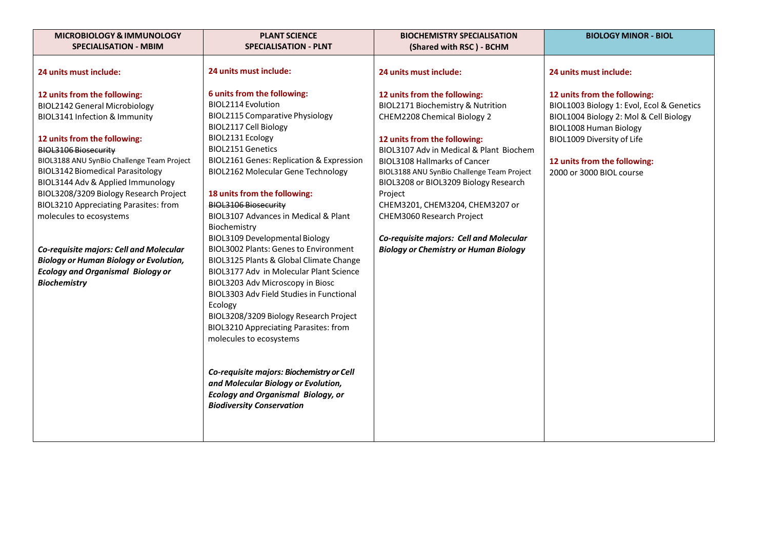| <b>MICROBIOLOGY &amp; IMMUNOLOGY</b>                                                                                                                                                                                                                                                                                                                                                                                                                                                                                                                                                   | <b>PLANT SCIENCE</b>                                                                                                                                                                                                                                                                                                                                                                                                                                                                                                                                                                                                                                                                                                                                                                                                                                                                                                                                                              | <b>BIOCHEMISTRY SPECIALISATION</b>                                                                                                                                                                                                                                                                                                                                                                                                                                              | <b>BIOLOGY MINOR - BIOL</b>                                                                                                                                                                                                                    |
|----------------------------------------------------------------------------------------------------------------------------------------------------------------------------------------------------------------------------------------------------------------------------------------------------------------------------------------------------------------------------------------------------------------------------------------------------------------------------------------------------------------------------------------------------------------------------------------|-----------------------------------------------------------------------------------------------------------------------------------------------------------------------------------------------------------------------------------------------------------------------------------------------------------------------------------------------------------------------------------------------------------------------------------------------------------------------------------------------------------------------------------------------------------------------------------------------------------------------------------------------------------------------------------------------------------------------------------------------------------------------------------------------------------------------------------------------------------------------------------------------------------------------------------------------------------------------------------|---------------------------------------------------------------------------------------------------------------------------------------------------------------------------------------------------------------------------------------------------------------------------------------------------------------------------------------------------------------------------------------------------------------------------------------------------------------------------------|------------------------------------------------------------------------------------------------------------------------------------------------------------------------------------------------------------------------------------------------|
| <b>SPECIALISATION - MBIM</b>                                                                                                                                                                                                                                                                                                                                                                                                                                                                                                                                                           | <b>SPECIALISATION - PLNT</b>                                                                                                                                                                                                                                                                                                                                                                                                                                                                                                                                                                                                                                                                                                                                                                                                                                                                                                                                                      | (Shared with RSC) - BCHM                                                                                                                                                                                                                                                                                                                                                                                                                                                        |                                                                                                                                                                                                                                                |
| 24 units must include:                                                                                                                                                                                                                                                                                                                                                                                                                                                                                                                                                                 | 24 units must include:                                                                                                                                                                                                                                                                                                                                                                                                                                                                                                                                                                                                                                                                                                                                                                                                                                                                                                                                                            | 24 units must include:                                                                                                                                                                                                                                                                                                                                                                                                                                                          | 24 units must include:                                                                                                                                                                                                                         |
| 12 units from the following:<br><b>BIOL2142 General Microbiology</b><br>BIOL3141 Infection & Immunity<br>12 units from the following:<br><b>BIOL3106 Biosecurity</b><br>BIOL3188 ANU SynBio Challenge Team Project<br><b>BIOL3142 Biomedical Parasitology</b><br>BIOL3144 Adv & Applied Immunology<br>BIOL3208/3209 Biology Research Project<br><b>BIOL3210 Appreciating Parasites: from</b><br>molecules to ecosystems<br>Co-requisite majors: Cell and Molecular<br><b>Biology or Human Biology or Evolution,</b><br><b>Ecology and Organismal Biology or</b><br><b>Biochemistry</b> | 6 units from the following:<br><b>BIOL2114 Evolution</b><br><b>BIOL2115 Comparative Physiology</b><br>BIOL2117 Cell Biology<br>BIOL2131 Ecology<br><b>BIOL2151 Genetics</b><br><b>BIOL2161 Genes: Replication &amp; Expression</b><br><b>BIOL2162 Molecular Gene Technology</b><br>18 units from the following:<br>BIOL3106 Biosecurity<br>BIOL3107 Advances in Medical & Plant<br>Biochemistry<br><b>BIOL3109 Developmental Biology</b><br><b>BIOL3002 Plants: Genes to Environment</b><br>BIOL3125 Plants & Global Climate Change<br><b>BIOL3177 Adv in Molecular Plant Science</b><br>BIOL3203 Adv Microscopy in Biosc<br><b>BIOL3303 Adv Field Studies in Functional</b><br>Ecology<br>BIOL3208/3209 Biology Research Project<br><b>BIOL3210 Appreciating Parasites: from</b><br>molecules to ecosystems<br>Co-requisite majors: Biochemistry or Cell<br>and Molecular Biology or Evolution,<br><b>Ecology and Organismal Biology, or</b><br><b>Biodiversity Conservation</b> | 12 units from the following:<br>BIOL2171 Biochemistry & Nutrition<br>CHEM2208 Chemical Biology 2<br>12 units from the following:<br>BIOL3107 Adv in Medical & Plant Biochem<br><b>BIOL3108 Hallmarks of Cancer</b><br>BIOL3188 ANU SynBio Challenge Team Project<br>BIOL3208 or BIOL3209 Biology Research<br>Project<br>CHEM3201, CHEM3204, CHEM3207 or<br>CHEM3060 Research Project<br>Co-requisite majors: Cell and Molecular<br><b>Biology or Chemistry or Human Biology</b> | 12 units from the following:<br>BIOL1003 Biology 1: Evol, Ecol & Genetics<br>BIOL1004 Biology 2: Mol & Cell Biology<br><b>BIOL1008 Human Biology</b><br>BIOL1009 Diversity of Life<br>12 units from the following:<br>2000 or 3000 BIOL course |
|                                                                                                                                                                                                                                                                                                                                                                                                                                                                                                                                                                                        |                                                                                                                                                                                                                                                                                                                                                                                                                                                                                                                                                                                                                                                                                                                                                                                                                                                                                                                                                                                   |                                                                                                                                                                                                                                                                                                                                                                                                                                                                                 |                                                                                                                                                                                                                                                |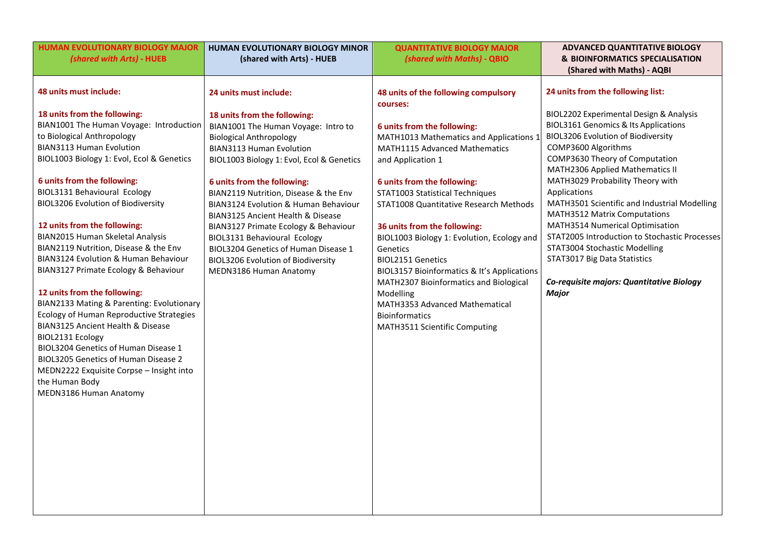| HUMAN EVOLUTIONARY BIOLOGY MAJOR                                                                                                                                                                                                                                                                                                                                                                                                                                                                                                                                                                                                                                                                                                                                                                             | HUMAN EVOLUTIONARY BIOLOGY MINOR                                                                                                                                                                                                                                                                                                                                                                                                                                                                                                  | <b>QUANTITATIVE BIOLOGY MAJOR</b>                                                                                                                                                                                                                                                                                                                                                                                                                                                                                                                                     | <b>ADVANCED QUANTITATIVE BIOLOGY</b>                                                                                                                                                                                                                                                                                                                                                                                                                                                                                                                                                                                    |
|--------------------------------------------------------------------------------------------------------------------------------------------------------------------------------------------------------------------------------------------------------------------------------------------------------------------------------------------------------------------------------------------------------------------------------------------------------------------------------------------------------------------------------------------------------------------------------------------------------------------------------------------------------------------------------------------------------------------------------------------------------------------------------------------------------------|-----------------------------------------------------------------------------------------------------------------------------------------------------------------------------------------------------------------------------------------------------------------------------------------------------------------------------------------------------------------------------------------------------------------------------------------------------------------------------------------------------------------------------------|-----------------------------------------------------------------------------------------------------------------------------------------------------------------------------------------------------------------------------------------------------------------------------------------------------------------------------------------------------------------------------------------------------------------------------------------------------------------------------------------------------------------------------------------------------------------------|-------------------------------------------------------------------------------------------------------------------------------------------------------------------------------------------------------------------------------------------------------------------------------------------------------------------------------------------------------------------------------------------------------------------------------------------------------------------------------------------------------------------------------------------------------------------------------------------------------------------------|
| (shared with Arts) - HUEB                                                                                                                                                                                                                                                                                                                                                                                                                                                                                                                                                                                                                                                                                                                                                                                    | (shared with Arts) - HUEB                                                                                                                                                                                                                                                                                                                                                                                                                                                                                                         | (shared with Maths) - QBIO                                                                                                                                                                                                                                                                                                                                                                                                                                                                                                                                            | <b>&amp; BIOINFORMATICS SPECIALISATION</b>                                                                                                                                                                                                                                                                                                                                                                                                                                                                                                                                                                              |
|                                                                                                                                                                                                                                                                                                                                                                                                                                                                                                                                                                                                                                                                                                                                                                                                              |                                                                                                                                                                                                                                                                                                                                                                                                                                                                                                                                   |                                                                                                                                                                                                                                                                                                                                                                                                                                                                                                                                                                       |                                                                                                                                                                                                                                                                                                                                                                                                                                                                                                                                                                                                                         |
| 48 units must include:                                                                                                                                                                                                                                                                                                                                                                                                                                                                                                                                                                                                                                                                                                                                                                                       | 24 units must include:                                                                                                                                                                                                                                                                                                                                                                                                                                                                                                            | 48 units of the following compulsory                                                                                                                                                                                                                                                                                                                                                                                                                                                                                                                                  | 24 units from the following list:                                                                                                                                                                                                                                                                                                                                                                                                                                                                                                                                                                                       |
| 18 units from the following:<br>BIAN1001 The Human Voyage: Introduction<br>to Biological Anthropology<br><b>BIAN3113 Human Evolution</b><br>BIOL1003 Biology 1: Evol, Ecol & Genetics<br>6 units from the following:<br>BIOL3131 Behavioural Ecology<br><b>BIOL3206 Evolution of Biodiversity</b><br>12 units from the following:<br>BIAN2015 Human Skeletal Analysis<br>BIAN2119 Nutrition, Disease & the Env<br>BIAN3124 Evolution & Human Behaviour<br>BIAN3127 Primate Ecology & Behaviour<br>12 units from the following:<br>BIAN2133 Mating & Parenting: Evolutionary<br>Ecology of Human Reproductive Strategies<br>BIAN3125 Ancient Health & Disease<br>BIOL2131 Ecology<br>BIOL3204 Genetics of Human Disease 1<br>BIOL3205 Genetics of Human Disease 2<br>MEDN2222 Exquisite Corpse - Insight into | 18 units from the following:<br>BIAN1001 The Human Voyage: Intro to<br><b>Biological Anthropology</b><br><b>BIAN3113 Human Evolution</b><br>BIOL1003 Biology 1: Evol, Ecol & Genetics<br>6 units from the following:<br>BIAN2119 Nutrition, Disease & the Env<br>BIAN3124 Evolution & Human Behaviour<br>BIAN3125 Ancient Health & Disease<br>BIAN3127 Primate Ecology & Behaviour<br>BIOL3131 Behavioural Ecology<br>BIOL3204 Genetics of Human Disease 1<br><b>BIOL3206 Evolution of Biodiversity</b><br>MEDN3186 Human Anatomy | courses:<br>6 units from the following:<br>MATH1013 Mathematics and Applications 1<br>MATH1115 Advanced Mathematics<br>and Application 1<br>6 units from the following:<br>STAT1003 Statistical Techniques<br>STAT1008 Quantitative Research Methods<br>36 units from the following:<br>BIOL1003 Biology 1: Evolution, Ecology and<br>Genetics<br>BIOL2151 Genetics<br>BIOL3157 Bioinformatics & It's Applications<br>MATH2307 Bioinformatics and Biological<br>Modelling<br>MATH3353 Advanced Mathematical<br><b>Bioinformatics</b><br>MATH3511 Scientific Computing | (Shared with Maths) - AQBI<br>BIOL2202 Experimental Design & Analysis<br><b>BIOL3161 Genomics &amp; Its Applications</b><br><b>BIOL3206 Evolution of Biodiversity</b><br>COMP3600 Algorithms<br>COMP3630 Theory of Computation<br>MATH2306 Applied Mathematics II<br>MATH3029 Probability Theory with<br>Applications<br>MATH3501 Scientific and Industrial Modelling<br>MATH3512 Matrix Computations<br>MATH3514 Numerical Optimisation<br>STAT2005 Introduction to Stochastic Processes<br>STAT3004 Stochastic Modelling<br>STAT3017 Big Data Statistics<br>Co-requisite majors: Quantitative Biology<br><b>Major</b> |
| the Human Body<br>MEDN3186 Human Anatomy                                                                                                                                                                                                                                                                                                                                                                                                                                                                                                                                                                                                                                                                                                                                                                     |                                                                                                                                                                                                                                                                                                                                                                                                                                                                                                                                   |                                                                                                                                                                                                                                                                                                                                                                                                                                                                                                                                                                       |                                                                                                                                                                                                                                                                                                                                                                                                                                                                                                                                                                                                                         |